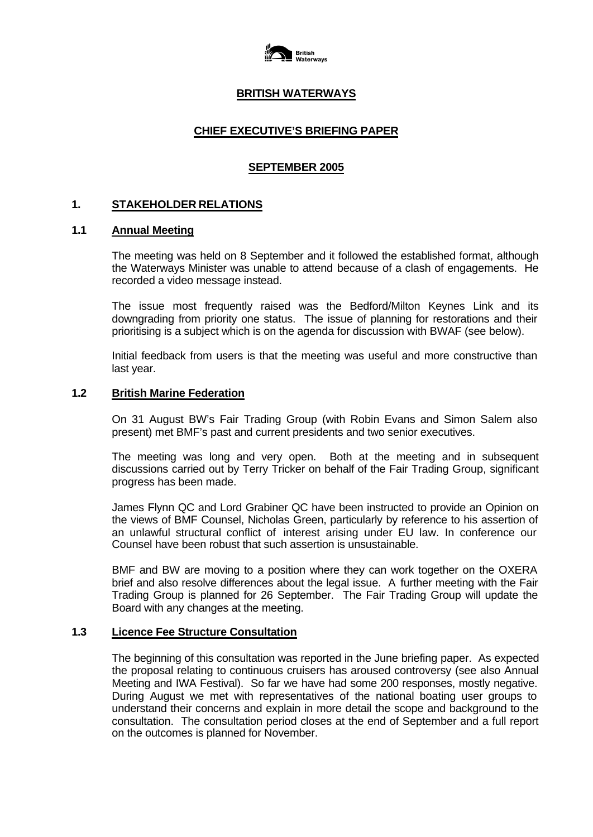

# **BRITISH WATERWAYS**

# **CHIEF EXECUTIVE'S BRIEFING PAPER**

### **SEPTEMBER 2005**

### **1. STAKEHOLDER RELATIONS**

### **1.1 Annual Meeting**

The meeting was held on 8 September and it followed the established format, although the Waterways Minister was unable to attend because of a clash of engagements. He recorded a video message instead.

The issue most frequently raised was the Bedford/Milton Keynes Link and its downgrading from priority one status. The issue of planning for restorations and their prioritising is a subject which is on the agenda for discussion with BWAF (see below).

Initial feedback from users is that the meeting was useful and more constructive than last year.

#### **1.2 British Marine Federation**

On 31 August BW's Fair Trading Group (with Robin Evans and Simon Salem also present) met BMF's past and current presidents and two senior executives.

The meeting was long and very open. Both at the meeting and in subsequent discussions carried out by Terry Tricker on behalf of the Fair Trading Group, significant progress has been made.

James Flynn QC and Lord Grabiner QC have been instructed to provide an Opinion on the views of BMF Counsel, Nicholas Green, particularly by reference to his assertion of an unlawful structural conflict of interest arising under EU law. In conference our Counsel have been robust that such assertion is unsustainable.

BMF and BW are moving to a position where they can work together on the OXERA brief and also resolve differences about the legal issue. A further meeting with the Fair Trading Group is planned for 26 September. The Fair Trading Group will update the Board with any changes at the meeting.

#### **1.3 Licence Fee Structure Consultation**

The beginning of this consultation was reported in the June briefing paper. As expected the proposal relating to continuous cruisers has aroused controversy (see also Annual Meeting and IWA Festival). So far we have had some 200 responses, mostly negative. During August we met with representatives of the national boating user groups to understand their concerns and explain in more detail the scope and background to the consultation. The consultation period closes at the end of September and a full report on the outcomes is planned for November.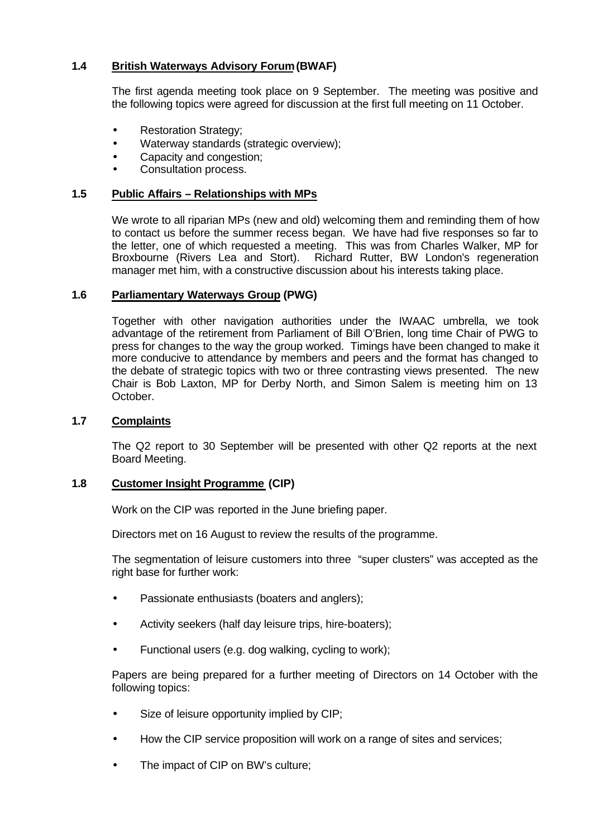# **1.4 British Waterways Advisory Forum (BWAF)**

The first agenda meeting took place on 9 September. The meeting was positive and the following topics were agreed for discussion at the first full meeting on 11 October.

- Restoration Strategy;
- Waterway standards (strategic overview);
- Capacity and congestion;
- Consultation process.

# **1.5 Public Affairs – Relationships with MPs**

We wrote to all riparian MPs (new and old) welcoming them and reminding them of how to contact us before the summer recess began. We have had five responses so far to the letter, one of which requested a meeting. This was from Charles Walker, MP for Broxbourne (Rivers Lea and Stort). Richard Rutter, BW London's regeneration manager met him, with a constructive discussion about his interests taking place.

# **1.6 Parliamentary Waterways Group (PWG)**

Together with other navigation authorities under the IWAAC umbrella, we took advantage of the retirement from Parliament of Bill O'Brien, long time Chair of PWG to press for changes to the way the group worked. Timings have been changed to make it more conducive to attendance by members and peers and the format has changed to the debate of strategic topics with two or three contrasting views presented. The new Chair is Bob Laxton, MP for Derby North, and Simon Salem is meeting him on 13 October.

# **1.7 Complaints**

The Q2 report to 30 September will be presented with other Q2 reports at the next Board Meeting.

# **1.8 Customer Insight Programme (CIP)**

Work on the CIP was reported in the June briefing paper.

Directors met on 16 August to review the results of the programme.

The segmentation of leisure customers into three "super clusters" was accepted as the right base for further work:

- Passionate enthusiasts (boaters and anglers);
- Activity seekers (half day leisure trips, hire-boaters);
- Functional users (e.g. dog walking, cycling to work);

Papers are being prepared for a further meeting of Directors on 14 October with the following topics:

- Size of leisure opportunity implied by CIP;
- How the CIP service proposition will work on a range of sites and services;
- The impact of CIP on BW's culture;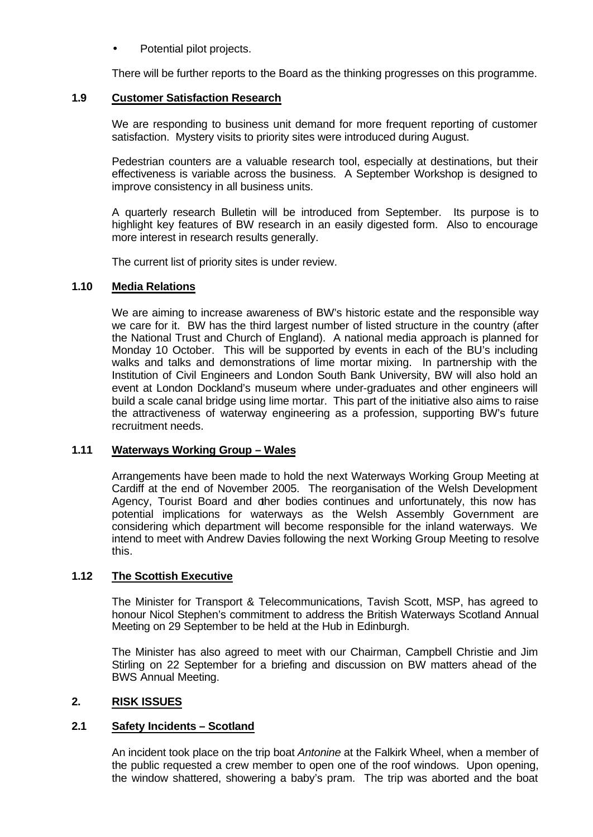Potential pilot projects.

There will be further reports to the Board as the thinking progresses on this programme.

# **1.9 Customer Satisfaction Research**

We are responding to business unit demand for more frequent reporting of customer satisfaction. Mystery visits to priority sites were introduced during August.

Pedestrian counters are a valuable research tool, especially at destinations, but their effectiveness is variable across the business. A September Workshop is designed to improve consistency in all business units.

A quarterly research Bulletin will be introduced from September. Its purpose is to highlight key features of BW research in an easily digested form. Also to encourage more interest in research results generally.

The current list of priority sites is under review.

# **1.10 Media Relations**

We are aiming to increase awareness of BW's historic estate and the responsible way we care for it. BW has the third largest number of listed structure in the country (after the National Trust and Church of England). A national media approach is planned for Monday 10 October. This will be supported by events in each of the BU's including walks and talks and demonstrations of lime mortar mixing. In partnership with the Institution of Civil Engineers and London South Bank University, BW will also hold an event at London Dockland's museum where under-graduates and other engineers will build a scale canal bridge using lime mortar. This part of the initiative also aims to raise the attractiveness of waterway engineering as a profession, supporting BW's future recruitment needs.

# **1.11 Waterways Working Group – Wales**

Arrangements have been made to hold the next Waterways Working Group Meeting at Cardiff at the end of November 2005. The reorganisation of the Welsh Development Agency, Tourist Board and other bodies continues and unfortunately, this now has potential implications for waterways as the Welsh Assembly Government are considering which department will become responsible for the inland waterways. We intend to meet with Andrew Davies following the next Working Group Meeting to resolve this.

# **1.12 The Scottish Executive**

The Minister for Transport & Telecommunications, Tavish Scott, MSP, has agreed to honour Nicol Stephen's commitment to address the British Waterways Scotland Annual Meeting on 29 September to be held at the Hub in Edinburgh.

The Minister has also agreed to meet with our Chairman, Campbell Christie and Jim Stirling on 22 September for a briefing and discussion on BW matters ahead of the BWS Annual Meeting.

# **2. RISK ISSUES**

# **2.1 Safety Incidents – Scotland**

An incident took place on the trip boat *Antonine* at the Falkirk Wheel, when a member of the public requested a crew member to open one of the roof windows. Upon opening, the window shattered, showering a baby's pram. The trip was aborted and the boat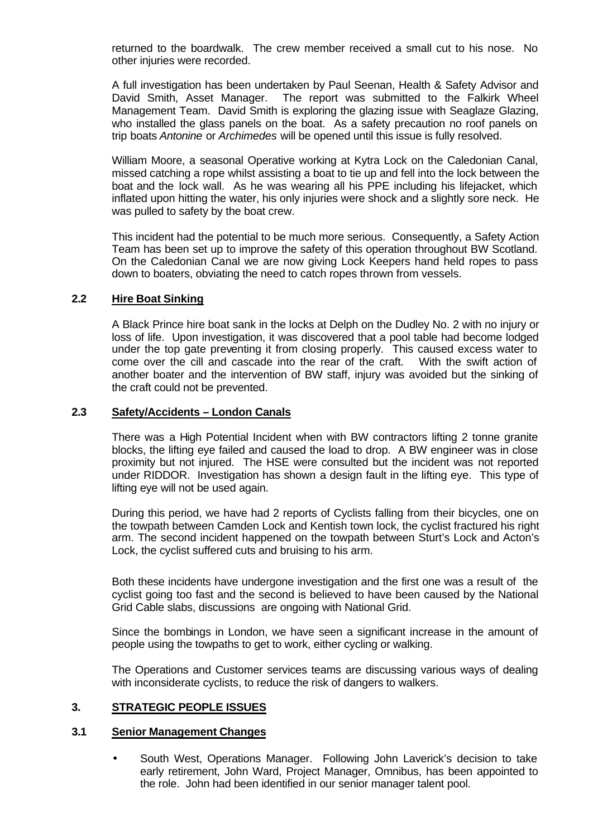returned to the boardwalk. The crew member received a small cut to his nose. No other injuries were recorded.

A full investigation has been undertaken by Paul Seenan, Health & Safety Advisor and David Smith, Asset Manager. The report was submitted to the Falkirk Wheel Management Team. David Smith is exploring the glazing issue with Seaglaze Glazing, who installed the glass panels on the boat. As a safety precaution no roof panels on trip boats *Antonine* or *Archimedes* will be opened until this issue is fully resolved.

William Moore, a seasonal Operative working at Kytra Lock on the Caledonian Canal, missed catching a rope whilst assisting a boat to tie up and fell into the lock between the boat and the lock wall. As he was wearing all his PPE including his lifejacket, which inflated upon hitting the water, his only injuries were shock and a slightly sore neck. He was pulled to safety by the boat crew.

This incident had the potential to be much more serious. Consequently, a Safety Action Team has been set up to improve the safety of this operation throughout BW Scotland. On the Caledonian Canal we are now giving Lock Keepers hand held ropes to pass down to boaters, obviating the need to catch ropes thrown from vessels.

# **2.2 Hire Boat Sinking**

A Black Prince hire boat sank in the locks at Delph on the Dudley No. 2 with no injury or loss of life. Upon investigation, it was discovered that a pool table had become lodged under the top gate preventing it from closing properly. This caused excess water to come over the cill and cascade into the rear of the craft. With the swift action of another boater and the intervention of BW staff, injury was avoided but the sinking of the craft could not be prevented.

### **2.3 Safety/Accidents – London Canals**

There was a High Potential Incident when with BW contractors lifting 2 tonne granite blocks, the lifting eye failed and caused the load to drop. A BW engineer was in close proximity but not injured. The HSE were consulted but the incident was not reported under RIDDOR. Investigation has shown a design fault in the lifting eye. This type of lifting eye will not be used again.

During this period, we have had 2 reports of Cyclists falling from their bicycles, one on the towpath between Camden Lock and Kentish town lock, the cyclist fractured his right arm. The second incident happened on the towpath between Sturt's Lock and Acton's Lock, the cyclist suffered cuts and bruising to his arm.

Both these incidents have undergone investigation and the first one was a result of the cyclist going too fast and the second is believed to have been caused by the National Grid Cable slabs, discussions are ongoing with National Grid.

Since the bombings in London, we have seen a significant increase in the amount of people using the towpaths to get to work, either cycling or walking.

The Operations and Customer services teams are discussing various ways of dealing with inconsiderate cyclists, to reduce the risk of dangers to walkers.

# **3. STRATEGIC PEOPLE ISSUES**

#### **3.1 Senior Management Changes**

South West, Operations Manager. Following John Laverick's decision to take early retirement, John Ward, Project Manager, Omnibus, has been appointed to the role. John had been identified in our senior manager talent pool.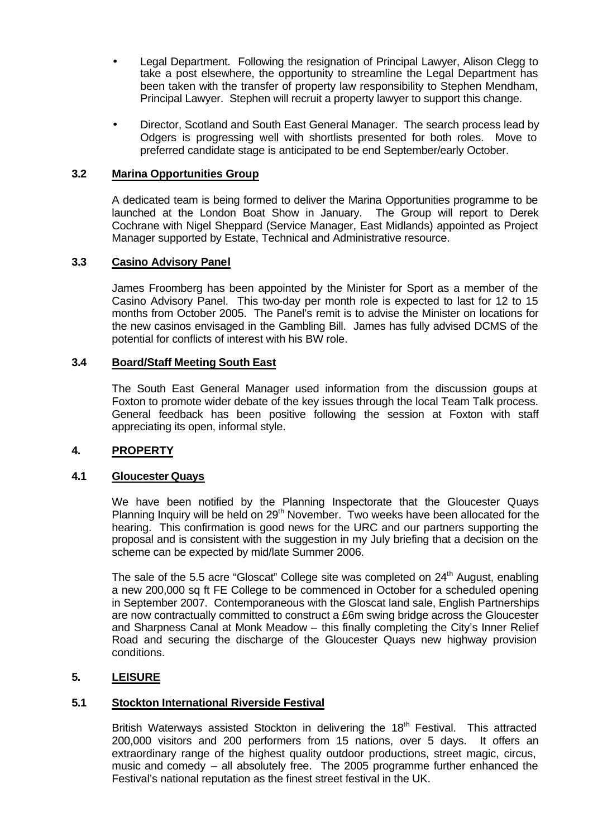- Legal Department. Following the resignation of Principal Lawyer, Alison Clegg to take a post elsewhere, the opportunity to streamline the Legal Department has been taken with the transfer of property law responsibility to Stephen Mendham, Principal Lawyer. Stephen will recruit a property lawyer to support this change.
- Director, Scotland and South East General Manager. The search process lead by Odgers is progressing well with shortlists presented for both roles. Move to preferred candidate stage is anticipated to be end September/early October.

# **3.2 Marina Opportunities Group**

A dedicated team is being formed to deliver the Marina Opportunities programme to be launched at the London Boat Show in January. The Group will report to Derek Cochrane with Nigel Sheppard (Service Manager, East Midlands) appointed as Project Manager supported by Estate, Technical and Administrative resource.

### **3.3 Casino Advisory Panel**

James Froomberg has been appointed by the Minister for Sport as a member of the Casino Advisory Panel. This two-day per month role is expected to last for 12 to 15 months from October 2005. The Panel's remit is to advise the Minister on locations for the new casinos envisaged in the Gambling Bill. James has fully advised DCMS of the potential for conflicts of interest with his BW role.

### **3.4 Board/Staff Meeting South East**

The South East General Manager used information from the discussion goups at Foxton to promote wider debate of the key issues through the local Team Talk process. General feedback has been positive following the session at Foxton with staff appreciating its open, informal style.

# **4. PROPERTY**

#### **4.1 Gloucester Quays**

We have been notified by the Planning Inspectorate that the Gloucester Quays Planning Inquiry will be held on 29<sup>th</sup> November. Two weeks have been allocated for the hearing. This confirmation is good news for the URC and our partners supporting the proposal and is consistent with the suggestion in my July briefing that a decision on the scheme can be expected by mid/late Summer 2006.

The sale of the 5.5 acre "Gloscat" College site was completed on  $24<sup>th</sup>$  August, enabling a new 200,000 sq ft FE College to be commenced in October for a scheduled opening in September 2007. Contemporaneous with the Gloscat land sale, English Partnerships are now contractually committed to construct a £6m swing bridge across the Gloucester and Sharpness Canal at Monk Meadow – this finally completing the City's Inner Relief Road and securing the discharge of the Gloucester Quays new highway provision conditions.

# **5. LEISURE**

#### **5.1 Stockton International Riverside Festival**

British Waterways assisted Stockton in delivering the 18<sup>th</sup> Festival. This attracted 200,000 visitors and 200 performers from 15 nations, over 5 days. It offers an extraordinary range of the highest quality outdoor productions, street magic, circus, music and comedy – all absolutely free. The 2005 programme further enhanced the Festival's national reputation as the finest street festival in the UK.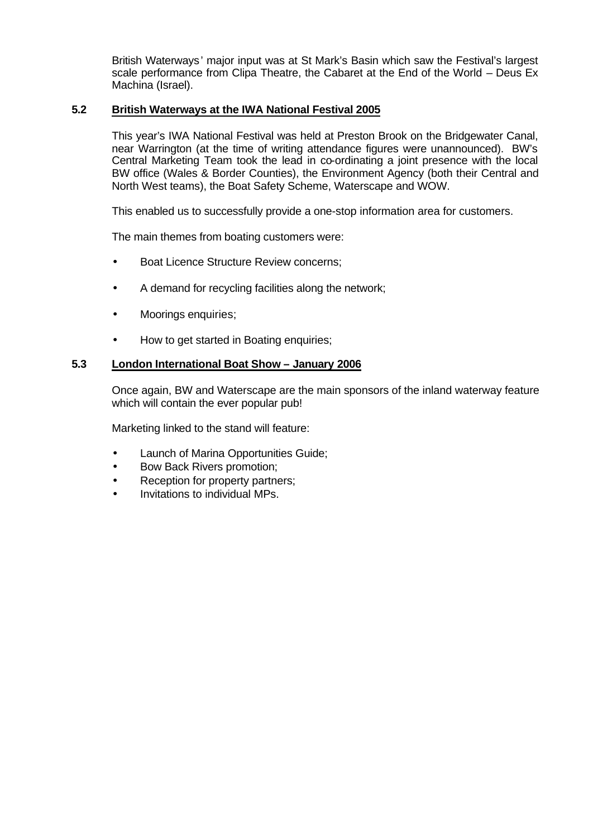British Waterways' major input was at St Mark's Basin which saw the Festival's largest scale performance from Clipa Theatre, the Cabaret at the End of the World – Deus Ex Machina (Israel).

# **5.2 British Waterways at the IWA National Festival 2005**

This year's IWA National Festival was held at Preston Brook on the Bridgewater Canal, near Warrington (at the time of writing attendance figures were unannounced). BW's Central Marketing Team took the lead in co-ordinating a joint presence with the local BW office (Wales & Border Counties), the Environment Agency (both their Central and North West teams), the Boat Safety Scheme, Waterscape and WOW.

This enabled us to successfully provide a one-stop information area for customers.

The main themes from boating customers were:

- Boat Licence Structure Review concerns;
- A demand for recycling facilities along the network;
- Moorings enquiries;
- How to get started in Boating enquiries;

### **5.3 London International Boat Show – January 2006**

Once again, BW and Waterscape are the main sponsors of the inland waterway feature which will contain the ever popular pub!

Marketing linked to the stand will feature:

- Launch of Marina Opportunities Guide;
- Bow Back Rivers promotion;
- Reception for property partners;
- Invitations to individual MPs.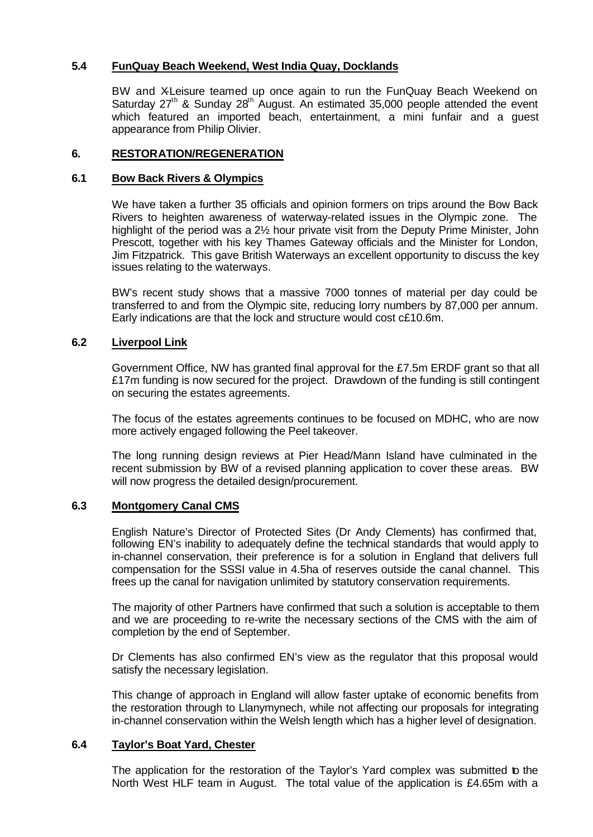# **5.4 FunQuay Beach Weekend, West India Quay, Docklands**

BW and X-Leisure teamed up once again to run the FunQuay Beach Weekend on Saturday  $27<sup>th</sup>$  & Sunday  $28<sup>th</sup>$  August. An estimated 35,000 people attended the event which featured an imported beach, entertainment, a mini funfair and a quest appearance from Philip Olivier.

### **6. RESTORATION/REGENERATION**

#### **6.1 Bow Back Rivers & Olympics**

We have taken a further 35 officials and opinion formers on trips around the Bow Back Rivers to heighten awareness of waterway-related issues in the Olympic zone. The highlight of the period was a 2½ hour private visit from the Deputy Prime Minister, John Prescott, together with his key Thames Gateway officials and the Minister for London, Jim Fitzpatrick. This gave British Waterways an excellent opportunity to discuss the key issues relating to the waterways.

BW's recent study shows that a massive 7000 tonnes of material per day could be transferred to and from the Olympic site, reducing lorry numbers by 87,000 per annum. Early indications are that the lock and structure would cost c£10.6m.

### **6.2 Liverpool Link**

Government Office, NW has granted final approval for the £7.5m ERDF grant so that all £17m funding is now secured for the project. Drawdown of the funding is still contingent on securing the estates agreements.

The focus of the estates agreements continues to be focused on MDHC, who are now more actively engaged following the Peel takeover.

The long running design reviews at Pier Head/Mann Island have culminated in the recent submission by BW of a revised planning application to cover these areas. BW will now progress the detailed design/procurement.

### **6.3 Montgomery Canal CMS**

English Nature's Director of Protected Sites (Dr Andy Clements) has confirmed that, following EN's inability to adequately define the technical standards that would apply to in-channel conservation, their preference is for a solution in England that delivers full compensation for the SSSI value in 4.5ha of reserves outside the canal channel. This frees up the canal for navigation unlimited by statutory conservation requirements.

The majority of other Partners have confirmed that such a solution is acceptable to them and we are proceeding to re-write the necessary sections of the CMS with the aim of completion by the end of September.

Dr Clements has also confirmed EN's view as the regulator that this proposal would satisfy the necessary legislation.

This change of approach in England will allow faster uptake of economic benefits from the restoration through to Llanymynech, while not affecting our proposals for integrating in-channel conservation within the Welsh length which has a higher level of designation.

#### **6.4 Taylor's Boat Yard, Chester**

The application for the restoration of the Taylor's Yard complex was submitted to the North West HLF team in August. The total value of the application is £4.65m with a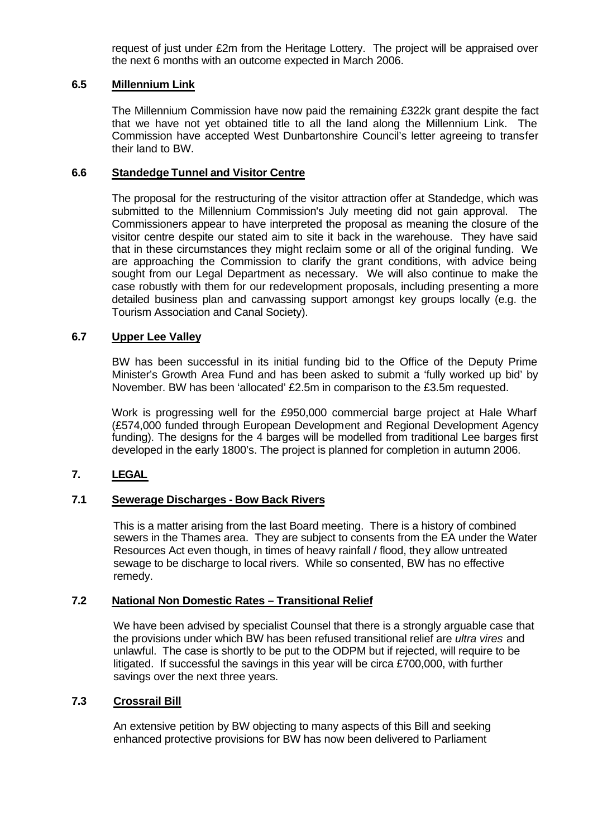request of just under £2m from the Heritage Lottery. The project will be appraised over the next 6 months with an outcome expected in March 2006.

# **6.5 Millennium Link**

The Millennium Commission have now paid the remaining £322k grant despite the fact that we have not yet obtained title to all the land along the Millennium Link. The Commission have accepted West Dunbartonshire Council's letter agreeing to transfer their land to BW.

#### **6.6 Standedge Tunnel and Visitor Centre**

The proposal for the restructuring of the visitor attraction offer at Standedge, which was submitted to the Millennium Commission's July meeting did not gain approval. The Commissioners appear to have interpreted the proposal as meaning the closure of the visitor centre despite our stated aim to site it back in the warehouse. They have said that in these circumstances they might reclaim some or all of the original funding. We are approaching the Commission to clarify the grant conditions, with advice being sought from our Legal Department as necessary. We will also continue to make the case robustly with them for our redevelopment proposals, including presenting a more detailed business plan and canvassing support amongst key groups locally (e.g. the Tourism Association and Canal Society).

### **6.7 Upper Lee Valley**

BW has been successful in its initial funding bid to the Office of the Deputy Prime Minister's Growth Area Fund and has been asked to submit a 'fully worked up bid' by November. BW has been 'allocated' £2.5m in comparison to the £3.5m requested.

Work is progressing well for the £950,000 commercial barge project at Hale Wharf (£574,000 funded through European Development and Regional Development Agency funding). The designs for the 4 barges will be modelled from traditional Lee barges first developed in the early 1800's. The project is planned for completion in autumn 2006.

# **7. LEGAL**

# **7.1 Sewerage Discharges - Bow Back Rivers**

This is a matter arising from the last Board meeting. There is a history of combined sewers in the Thames area. They are subject to consents from the EA under the Water Resources Act even though, in times of heavy rainfall / flood, they allow untreated sewage to be discharge to local rivers. While so consented, BW has no effective remedy.

#### **7.2 National Non Domestic Rates – Transitional Relief**

We have been advised by specialist Counsel that there is a strongly arguable case that the provisions under which BW has been refused transitional relief are *ultra vires* and unlawful. The case is shortly to be put to the ODPM but if rejected, will require to be litigated. If successful the savings in this year will be circa £700,000, with further savings over the next three years.

# **7.3 Crossrail Bill**

An extensive petition by BW objecting to many aspects of this Bill and seeking enhanced protective provisions for BW has now been delivered to Parliament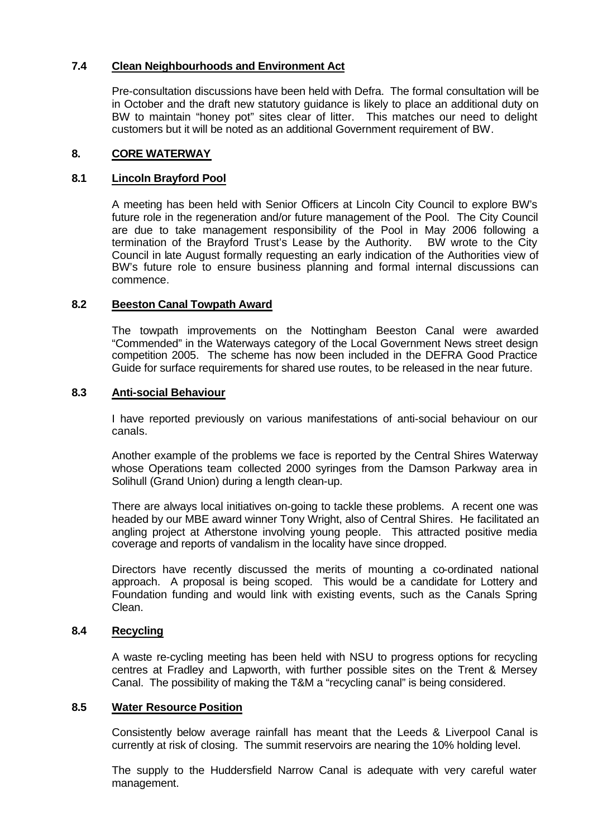# **7.4 Clean Neighbourhoods and Environment Act**

Pre-consultation discussions have been held with Defra. The formal consultation will be in October and the draft new statutory guidance is likely to place an additional duty on BW to maintain "honey pot" sites clear of litter. This matches our need to delight customers but it will be noted as an additional Government requirement of BW.

# **8. CORE WATERWAY**

# **8.1 Lincoln Brayford Pool**

A meeting has been held with Senior Officers at Lincoln City Council to explore BW's future role in the regeneration and/or future management of the Pool. The City Council are due to take management responsibility of the Pool in May 2006 following a termination of the Brayford Trust's Lease by the Authority. BW wrote to the City Council in late August formally requesting an early indication of the Authorities view of BW's future role to ensure business planning and formal internal discussions can commence.

# **8.2 Beeston Canal Towpath Award**

The towpath improvements on the Nottingham Beeston Canal were awarded "Commended" in the Waterways category of the Local Government News street design competition 2005. The scheme has now been included in the DEFRA Good Practice Guide for surface requirements for shared use routes, to be released in the near future.

# **8.3 Anti-social Behaviour**

I have reported previously on various manifestations of anti-social behaviour on our canals.

Another example of the problems we face is reported by the Central Shires Waterway whose Operations team collected 2000 syringes from the Damson Parkway area in Solihull (Grand Union) during a length clean-up.

There are always local initiatives on-going to tackle these problems. A recent one was headed by our MBE award winner Tony Wright, also of Central Shires. He facilitated an angling project at Atherstone involving young people. This attracted positive media coverage and reports of vandalism in the locality have since dropped.

Directors have recently discussed the merits of mounting a co-ordinated national approach. A proposal is being scoped. This would be a candidate for Lottery and Foundation funding and would link with existing events, such as the Canals Spring Clean.

# **8.4 Recycling**

A waste re-cycling meeting has been held with NSU to progress options for recycling centres at Fradley and Lapworth, with further possible sites on the Trent & Mersey Canal. The possibility of making the T&M a "recycling canal" is being considered.

# **8.5 Water Resource Position**

Consistently below average rainfall has meant that the Leeds & Liverpool Canal is currently at risk of closing. The summit reservoirs are nearing the 10% holding level.

The supply to the Huddersfield Narrow Canal is adequate with very careful water management.